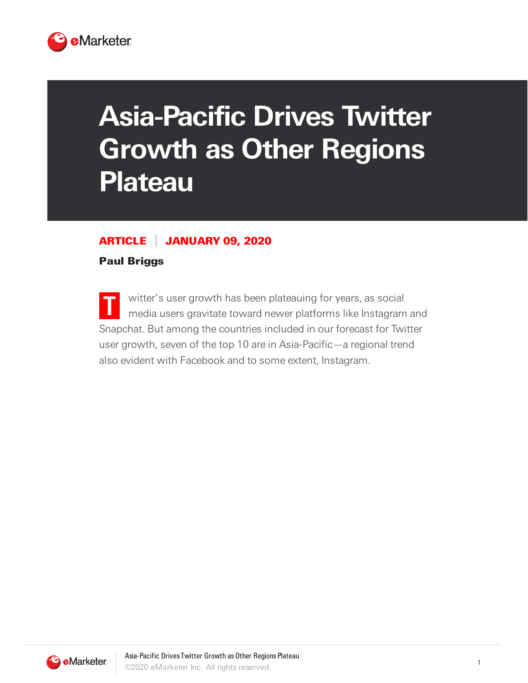

# **Asia-Pacific Drives Twitter Growth as Other Regions Plateau**

### ARTICLE JANUARY 09, 2020

#### Paul Briggs

**T** witter's user growth has been plateauing for years, as social media users gravitate toward newer platforms like Instagram and Snapchat. But among the countries included in our forecast for Twitter user growth, seven of the top 10 are in Asia-Pacific—a regional trend also evident with Facebook and to some extent, Instagram.

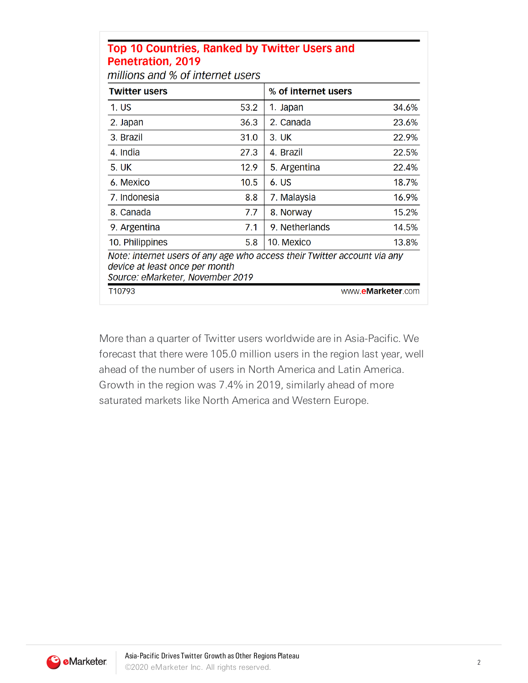#### Top 10 Countries, Ranked by Twitter Users and Penetration, 2019

millions and % of internet users

| <b>Twitter users</b>                                                                                                                           |      | % of internet users |                   |
|------------------------------------------------------------------------------------------------------------------------------------------------|------|---------------------|-------------------|
| 1. US                                                                                                                                          | 53.2 | 1. Japan            | 34.6%             |
| 2. Japan                                                                                                                                       | 36.3 | 2. Canada           | 23.6%             |
| 3. Brazil                                                                                                                                      | 31.0 | 3. UK               | 22.9%             |
| 4. India                                                                                                                                       | 27.3 | 4. Brazil           | 22.5%             |
| 5. UK                                                                                                                                          | 12.9 | 5. Argentina        | 22.4%             |
| 6. Mexico                                                                                                                                      | 10.5 | 6. US               | 18.7%             |
| 7. Indonesia                                                                                                                                   | 8.8  | 7. Malaysia         | 16.9%             |
| 8. Canada                                                                                                                                      | 7.7  | 8. Norway           | 15.2%             |
| 9. Argentina                                                                                                                                   | 7.1  | 9. Netherlands      | 14.5%             |
| 10. Philippines                                                                                                                                | 5.8  | 10. Mexico          | 13.8%             |
| Note: internet users of any age who access their Twitter account via any<br>device at least once per month<br>Source: eMarketer, November 2019 |      |                     |                   |
| T10793                                                                                                                                         |      |                     | www.eMarketer.com |

More than a quarter of Twitter users worldwide are in Asia-Pacific. We forecast that there were 105.0 million users in the region last year, well ahead of the number of users in North America and Latin America. Growth in the region was 7.4% in 2019, similarly ahead of more saturated markets like North America and Western Europe.

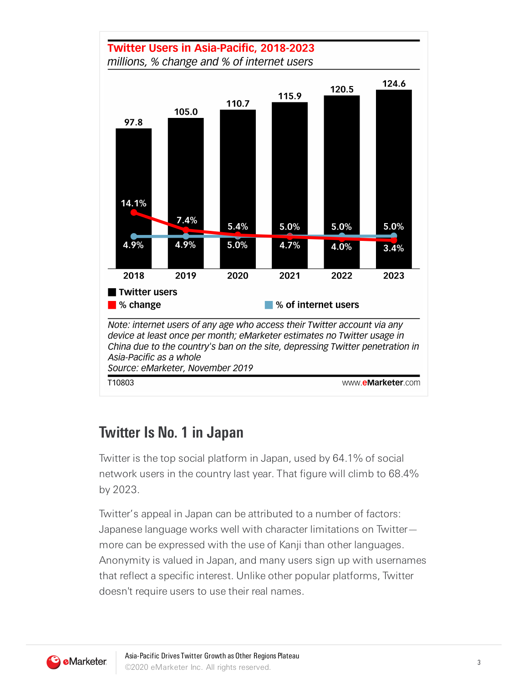

## **Twitter Is No. 1 in Japan**

Twitter is the top social platform in Japan, used by 64.1% of social network users in the country last year. That figure will climb to 68.4% by 2023.

Twitter's appeal in Japan can be attributed to a number of factors: Japanese language works well with character limitations on Twitter more can be expressed with the use of Kanji than other languages. Anonymity is valued in Japan, and many users sign up with usernames that reflect a specific interest. Unlike other popular platforms, Twitter doesn't require users to use their real names.